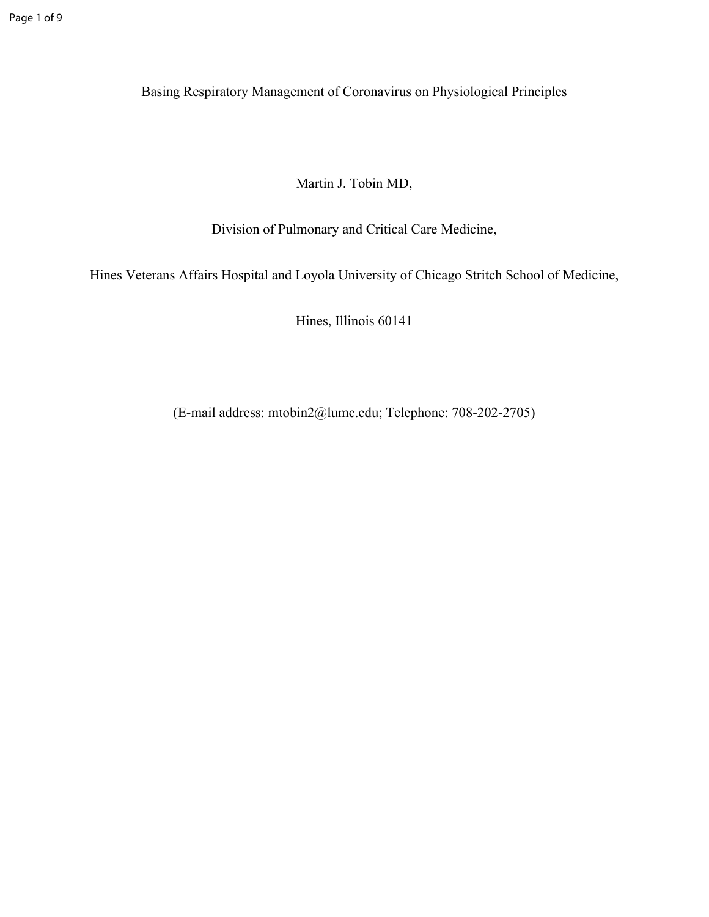Basing Respiratory Management of Coronavirus on Physiological Principles

Martin J. Tobin MD,

Division of Pulmonary and Critical Care Medicine,

Hines Veterans Affairs Hospital and Loyola University of Chicago Stritch School of Medicine,

Hines, Illinois 60141

(E-mail address: [mtobin2@lumc.edu](mailto:mtobin2@lumc.edu); Telephone: 708-202-2705)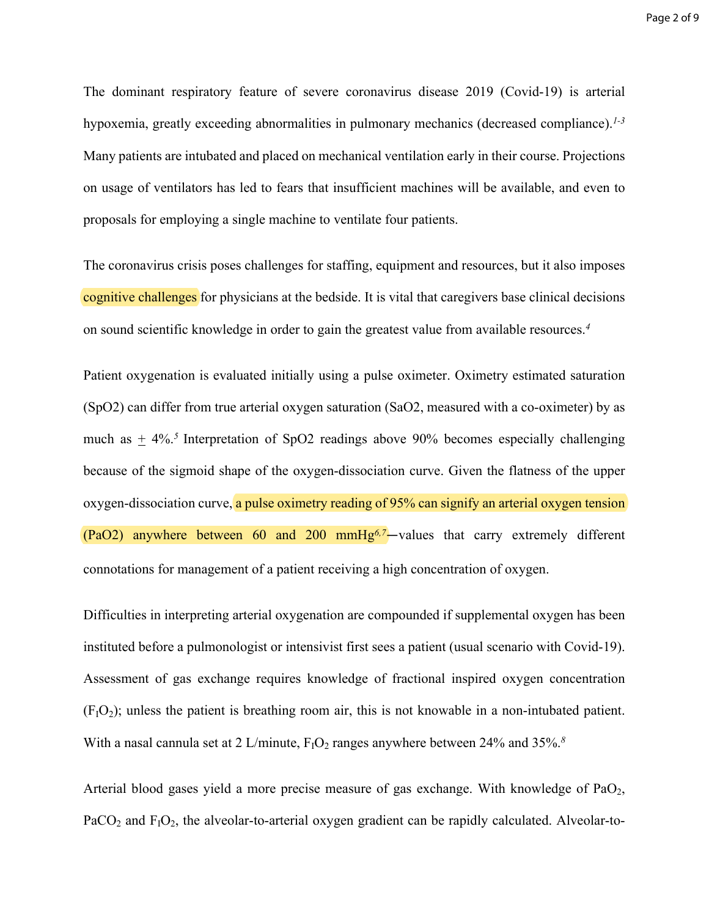The dominant respiratory feature of severe coronavirus disease 2019 (Covid-19) is arterial hypoxemia, greatly exceeding abnormalities in pulmonary mechanics (decreased compliance).*1-3* Many patients are intubated and placed on mechanical ventilation early in their course. Projections on usage of ventilators has led to fears that insufficient machines will be available, and even to proposals for employing a single machine to ventilate four patients.

The coronavirus crisis poses challenges for staffing, equipment and resources, but it also imposes cognitive challenges for physicians at the bedside. It is vital that caregivers base clinical decisions on sound scientific knowledge in order to gain the greatest value from available resources.*<sup>4</sup>*

Patient oxygenation is evaluated initially using a pulse oximeter. Oximetry estimated saturation (SpO2) can differ from true arterial oxygen saturation (SaO2, measured with a co-oximeter) by as much as  $\pm$  4%.<sup>5</sup> Interpretation of SpO2 readings above 90% becomes especially challenging because of the sigmoid shape of the oxygen-dissociation curve. Given the flatness of the upper oxygen-dissociation curve, a pulse oximetry reading of 95% can signify an arterial oxygen tension (PaO2) anywhere between 60 and 200 mmHg*6,7*—values that carry extremely different connotations for management of a patient receiving a high concentration of oxygen.

Difficulties in interpreting arterial oxygenation are compounded if supplemental oxygen has been instituted before a pulmonologist or intensivist first sees a patient (usual scenario with Covid-19). Assessment of gas exchange requires knowledge of fractional inspired oxygen concentration  $(F<sub>1</sub>O<sub>2</sub>)$ ; unless the patient is breathing room air, this is not knowable in a non-intubated patient. With a nasal cannula set at 2 L/minute,  $F_1O_2$  ranges anywhere between 24% and 35%.<sup>8</sup>

Arterial blood gases yield a more precise measure of gas exchange. With knowledge of  $PaO<sub>2</sub>$ ,  $PaCO<sub>2</sub>$  and  $F<sub>1</sub>O<sub>2</sub>$ , the alveolar-to-arterial oxygen gradient can be rapidly calculated. Alveolar-to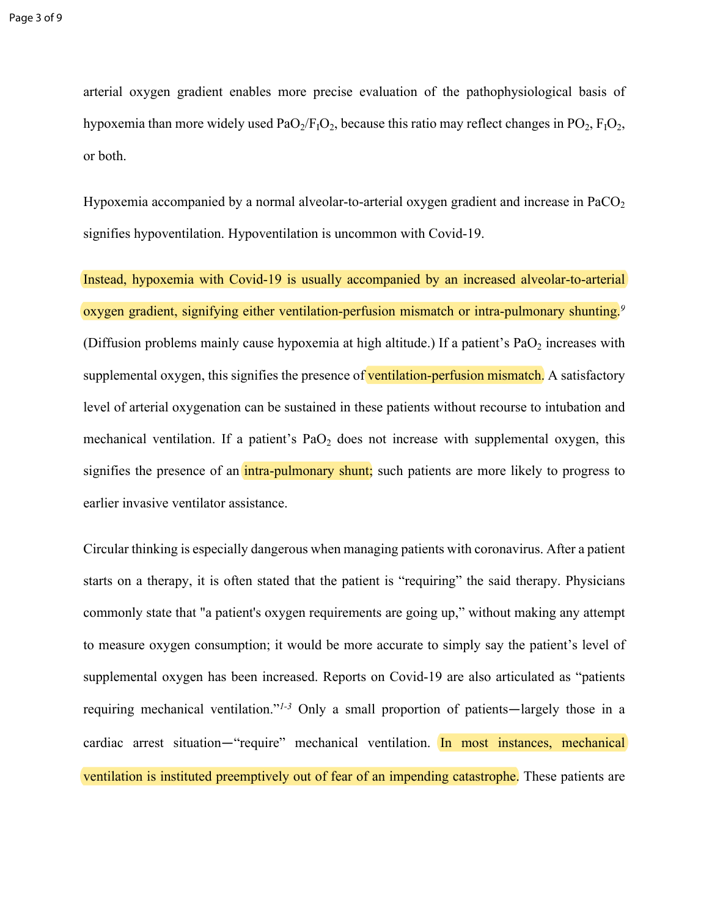arterial oxygen gradient enables more precise evaluation of the pathophysiological basis of hypoxemia than more widely used  $PaO<sub>2</sub>/F<sub>1</sub>O<sub>2</sub>$ , because this ratio may reflect changes in PO<sub>2</sub>,  $F<sub>1</sub>O<sub>2</sub>$ , or both.

Hypoxemia accompanied by a normal alveolar-to-arterial oxygen gradient and increase in PaCO<sub>2</sub> signifies hypoventilation. Hypoventilation is uncommon with Covid-19.

Instead, hypoxemia with Covid-19 is usually accompanied by an increased alveolar-to-arterial oxygen gradient, signifying either ventilation-perfusion mismatch or intra-pulmonary shunting.*<sup>9</sup>* (Diffusion problems mainly cause hypoxemia at high altitude.) If a patient's  $PaO<sub>2</sub>$  increases with supplemental oxygen, this signifies the presence of ventilation-perfusion mismatch. A satisfactory level of arterial oxygenation can be sustained in these patients without recourse to intubation and mechanical ventilation. If a patient's  $PaO<sub>2</sub>$  does not increase with supplemental oxygen, this signifies the presence of an intra-pulmonary shunt; such patients are more likely to progress to earlier invasive ventilator assistance.

Circular thinking is especially dangerous when managing patients with coronavirus. After a patient starts on a therapy, it is often stated that the patient is "requiring" the said therapy. Physicians commonly state that "a patient's oxygen requirements are going up," without making any attempt to measure oxygen consumption; it would be more accurate to simply say the patient's level of supplemental oxygen has been increased. Reports on Covid-19 are also articulated as "patients requiring mechanical ventilation."*1-3* Only a small proportion of patients—largely those in a cardiac arrest situation—"require" mechanical ventilation. In most instances, mechanical ventilation is instituted preemptively out of fear of an impending catastrophe. These patients are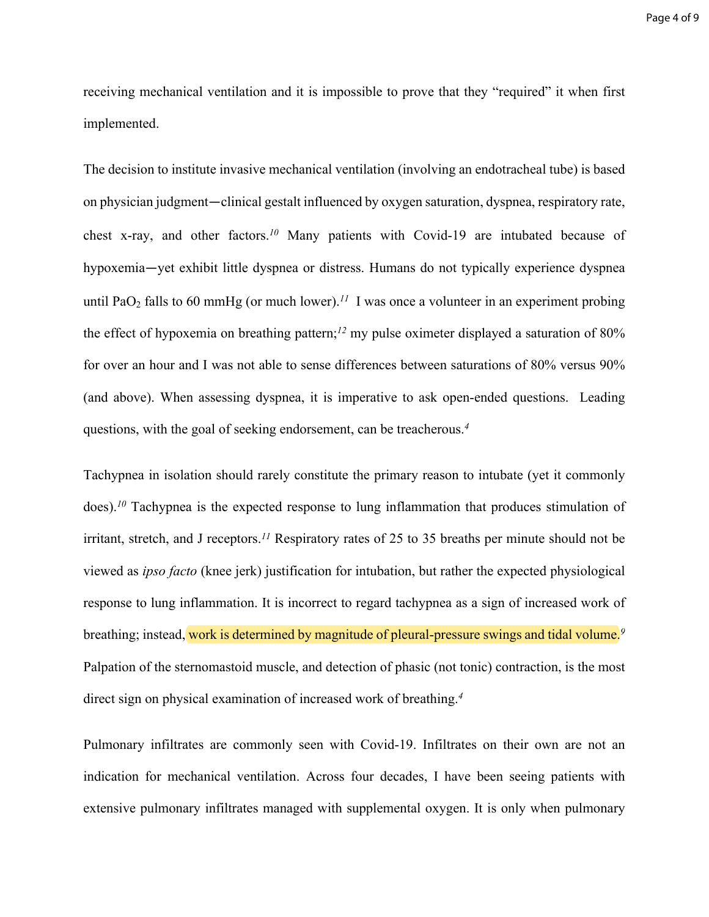receiving mechanical ventilation and it is impossible to prove that they "required" it when first implemented.

The decision to institute invasive mechanical ventilation (involving an endotracheal tube) is based on physician judgment—clinical gestalt influenced by oxygen saturation, dyspnea, respiratory rate, chest x-ray, and other factors.*<sup>10</sup>* Many patients with Covid-19 are intubated because of hypoxemia—yet exhibit little dyspnea or distress. Humans do not typically experience dyspnea until PaO<sub>2</sub> falls to 60 mmHg (or much lower).<sup>11</sup> I was once a volunteer in an experiment probing the effect of hypoxemia on breathing pattern;*<sup>12</sup>* my pulse oximeter displayed a saturation of 80% for over an hour and I was not able to sense differences between saturations of 80% versus 90% (and above). When assessing dyspnea, it is imperative to ask open-ended questions. Leading questions, with the goal of seeking endorsement, can be treacherous.*<sup>4</sup>*

Tachypnea in isolation should rarely constitute the primary reason to intubate (yet it commonly does).<sup>10</sup> Tachypnea is the expected response to lung inflammation that produces stimulation of irritant, stretch, and J receptors.*<sup>11</sup>* Respiratory rates of 25 to 35 breaths per minute should not be viewed as *ipso facto* (knee jerk) justification for intubation, but rather the expected physiological response to lung inflammation. It is incorrect to regard tachypnea as a sign of increased work of breathing; instead, work is determined by magnitude of pleural-pressure swings and tidal volume.*<sup>9</sup>* Palpation of the sternomastoid muscle, and detection of phasic (not tonic) contraction, is the most direct sign on physical examination of increased work of breathing.*<sup>4</sup>*

Pulmonary infiltrates are commonly seen with Covid-19. Infiltrates on their own are not an indication for mechanical ventilation. Across four decades, I have been seeing patients with extensive pulmonary infiltrates managed with supplemental oxygen. It is only when pulmonary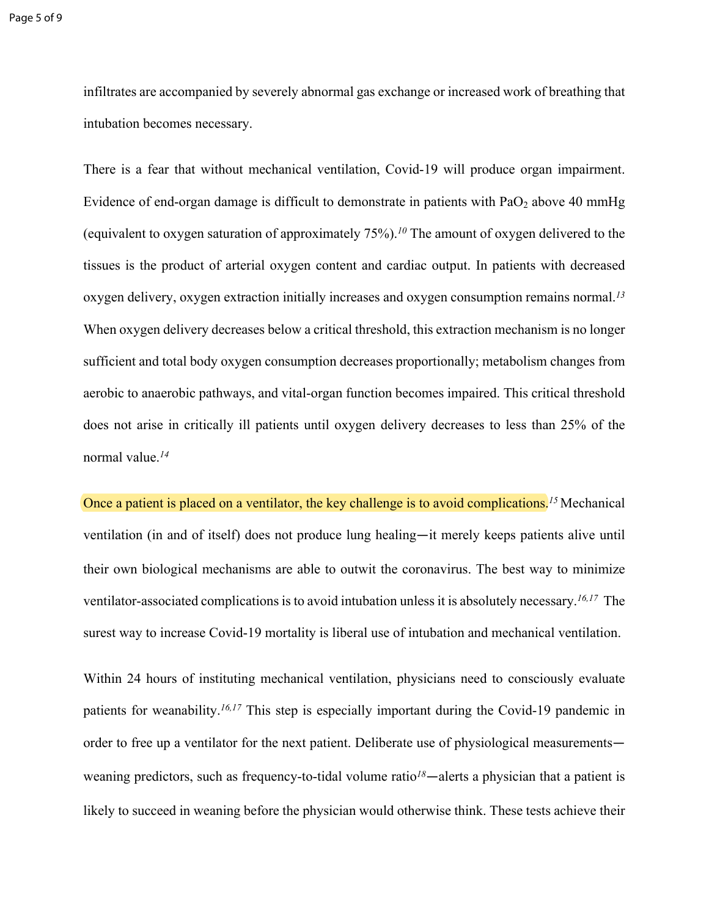infiltrates are accompanied by severely abnormal gas exchange or increased work of breathing that intubation becomes necessary.

There is a fear that without mechanical ventilation, Covid-19 will produce organ impairment. Evidence of end-organ damage is difficult to demonstrate in patients with  $PaO<sub>2</sub>$  above 40 mmHg (equivalent to oxygen saturation of approximately 75%).*<sup>10</sup>* The amount of oxygen delivered to the tissues is the product of arterial oxygen content and cardiac output. In patients with decreased oxygen delivery, oxygen extraction initially increases and oxygen consumption remains normal.*<sup>13</sup>* When oxygen delivery decreases below a critical threshold, this extraction mechanism is no longer sufficient and total body oxygen consumption decreases proportionally; metabolism changes from aerobic to anaerobic pathways, and vital-organ function becomes impaired. This critical threshold does not arise in critically ill patients until oxygen delivery decreases to less than 25% of the normal value.*<sup>14</sup>*

Once a patient is placed on a ventilator, the key challenge is to avoid complications.<sup>15</sup> Mechanical ventilation (in and of itself) does not produce lung healing—it merely keeps patients alive until their own biological mechanisms are able to outwit the coronavirus. The best way to minimize ventilator-associated complications is to avoid intubation unless it is absolutely necessary.*16,17* The surest way to increase Covid-19 mortality is liberal use of intubation and mechanical ventilation.

Within 24 hours of instituting mechanical ventilation, physicians need to consciously evaluate patients for weanability.*16,17* This step is especially important during the Covid-19 pandemic in order to free up a ventilator for the next patient. Deliberate use of physiological measurements weaning predictors, such as frequency-to-tidal volume ratio*<sup>18</sup>*—alerts a physician that a patient is likely to succeed in weaning before the physician would otherwise think. These tests achieve their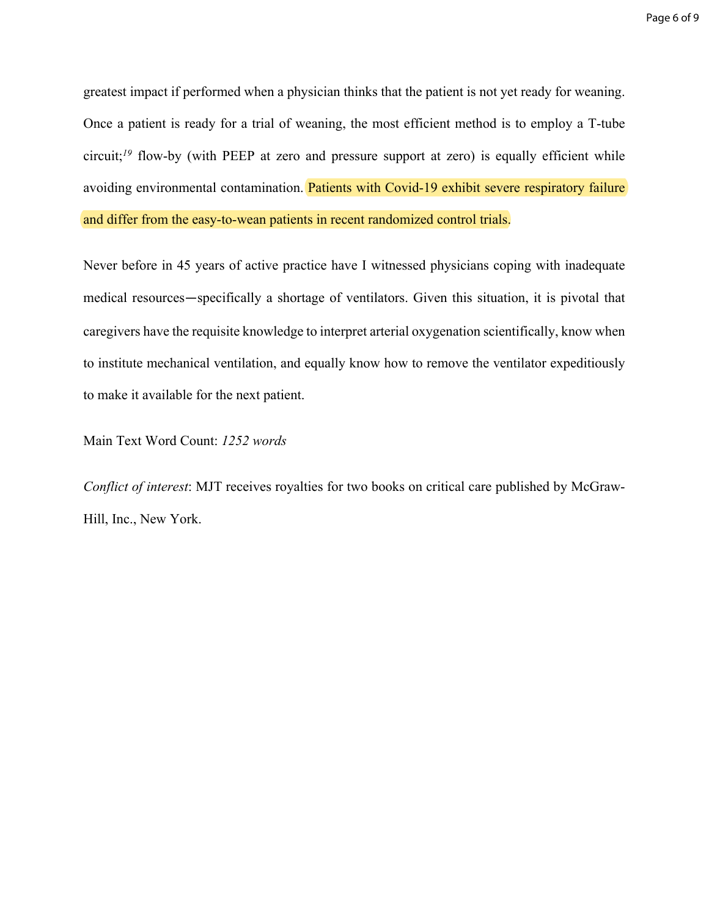greatest impact if performed when a physician thinks that the patient is not yet ready for weaning. Once a patient is ready for a trial of weaning, the most efficient method is to employ a T-tube circuit;<sup>19</sup> flow-by (with PEEP at zero and pressure support at zero) is equally efficient while avoiding environmental contamination. Patients with Covid-19 exhibit severe respiratory failure and differ from the easy-to-wean patients in recent randomized control trials.

Never before in 45 years of active practice have I witnessed physicians coping with inadequate medical resources—specifically a shortage of ventilators. Given this situation, it is pivotal that caregivers have the requisite knowledge to interpret arterial oxygenation scientifically, know when to institute mechanical ventilation, and equally know how to remove the ventilator expeditiously to make it available for the next patient.

Main Text Word Count: *1252 words*

*Conflict of interest*: MJT receives royalties for two books on critical care published by McGraw-Hill, Inc., New York.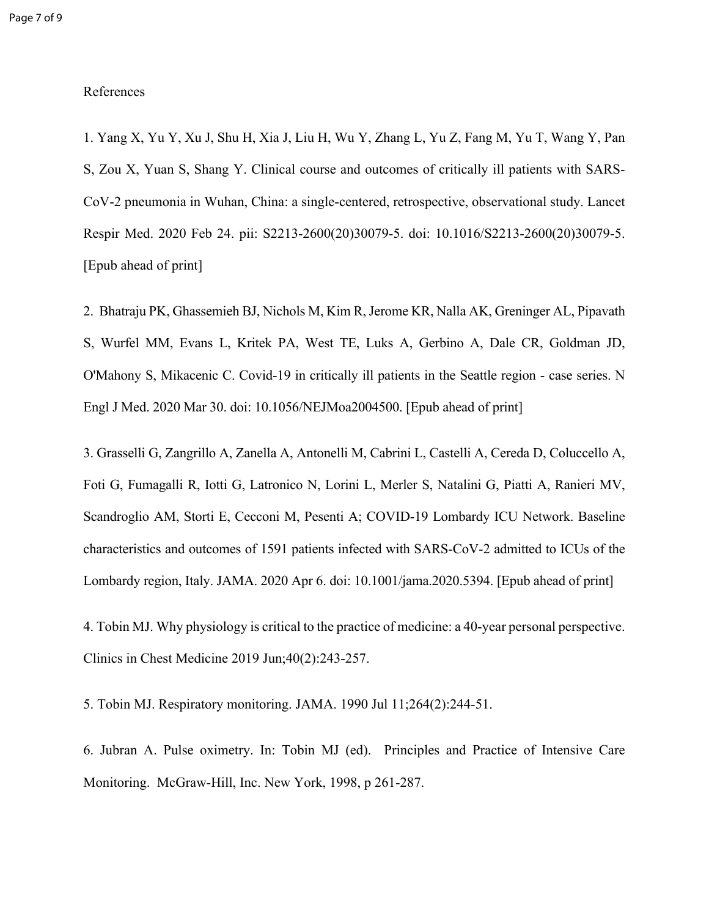## References

1. Yang X, Yu Y, Xu J, Shu H, Xia J, Liu H, Wu Y, Zhang L, Yu Z, Fang M, Yu T, Wang Y, Pan S, Zou X, Yuan S, Shang Y. Clinical course and outcomes of critically ill patients with SARS-CoV-2 pneumonia in Wuhan, China: a single-centered, retrospective, observational study. Lancet Respir Med. 2020 Feb 24. pii: S2213-2600(20)30079-5. doi: 10.1016/S2213-2600(20)30079-5. [Epub ahead of print]

2. Bhatraju PK, Ghassemieh BJ, Nichols M, Kim R, Jerome KR, Nalla AK, Greninger AL, Pipavath S, Wurfel MM, Evans L, Kritek PA, West TE, Luks A, Gerbino A, Dale CR, Goldman JD, O'Mahony S, Mikacenic C. Covid-19 in critically ill patients in the Seattle region - case series. N Engl J Med. 2020 Mar 30. doi: 10.1056/NEJMoa2004500. [Epub ahead of print]

3. Grasselli G, Zangrillo A, Zanella A, Antonelli M, Cabrini L, Castelli A, Cereda D, Coluccello A, Foti G, Fumagalli R, Iotti G, Latronico N, Lorini L, Merler S, Natalini G, Piatti A, Ranieri MV, Scandroglio AM, Storti E, Cecconi M, Pesenti A; COVID-19 Lombardy ICU Network. Baseline characteristics and outcomes of 1591 patients infected with SARS-CoV-2 admitted to ICUs of the Lombardy region, Italy. JAMA. 2020 Apr 6. doi: 10.1001/jama.2020.5394. [Epub ahead of print]

4. Tobin MJ. Why physiology is critical to the practice of medicine: a 40-year personal perspective. Clinics in Chest Medicine 2019 Jun;40(2):243-257.

5. Tobin MJ. Respiratory monitoring. JAMA. 1990 Jul 11;264(2):244-51.

6. Jubran A. Pulse oximetry. In: Tobin MJ (ed). Principles and Practice of Intensive Care Monitoring. McGraw-Hill, Inc. New York, 1998, p 261-287.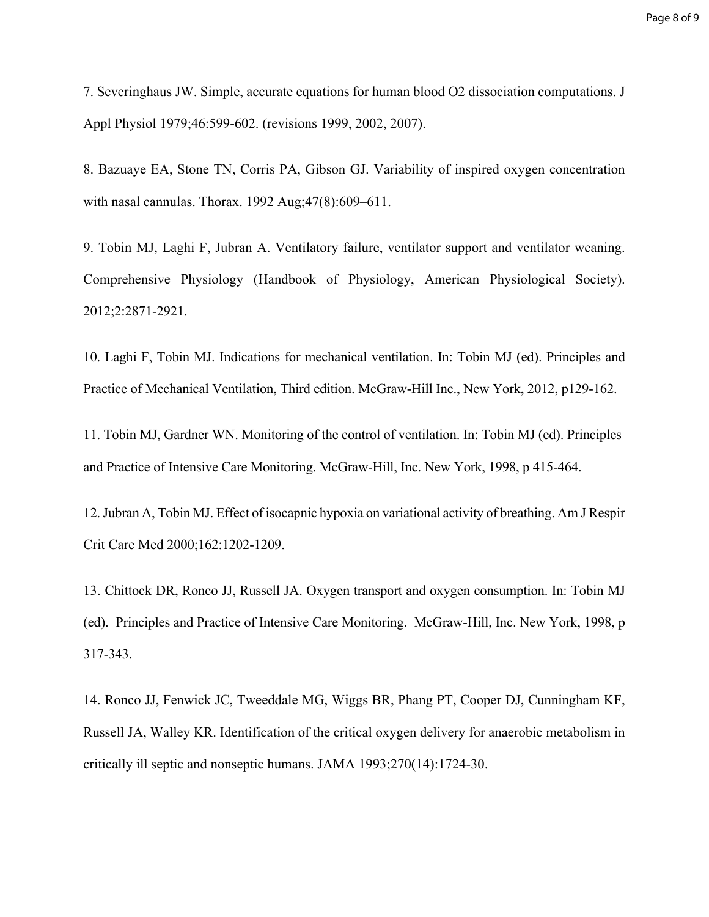7. Severinghaus JW. Simple, accurate equations for human blood O2 dissociation computations. J Appl Physiol 1979;46:599-602. (revisions 1999, 2002, 2007).

8. Bazuaye EA, Stone TN, Corris PA, Gibson GJ. Variability of inspired oxygen concentration with nasal cannulas. Thorax. 1992 Aug;47(8):609–611.

9. Tobin MJ, Laghi F, Jubran A. Ventilatory failure, ventilator support and ventilator weaning. Comprehensive Physiology (Handbook of Physiology, American Physiological Society). 2012;2:2871-2921.

10. Laghi F, Tobin MJ. Indications for mechanical ventilation. In: Tobin MJ (ed). Principles and Practice of Mechanical Ventilation, Third edition. McGraw-Hill Inc., New York, 2012, p129-162.

11. Tobin MJ, Gardner WN. Monitoring of the control of ventilation. In: Tobin MJ (ed). Principles and Practice of Intensive Care Monitoring. McGraw-Hill, Inc. New York, 1998, p 415-464.

12. Jubran A, Tobin MJ. Effect of isocapnic hypoxia on variational activity of breathing. Am J Respir Crit Care Med 2000;162:1202-1209.

13. Chittock DR, Ronco JJ, Russell JA. Oxygen transport and oxygen consumption. In: Tobin MJ (ed). Principles and Practice of Intensive Care Monitoring. McGraw-Hill, Inc. New York, 1998, p 317-343.

14. Ronco JJ, Fenwick JC, Tweeddale MG, Wiggs BR, Phang PT, Cooper DJ, Cunningham KF, Russell JA, Walley KR. Identification of the critical oxygen delivery for anaerobic metabolism in critically ill septic and nonseptic humans. JAMA 1993;270(14):1724-30.